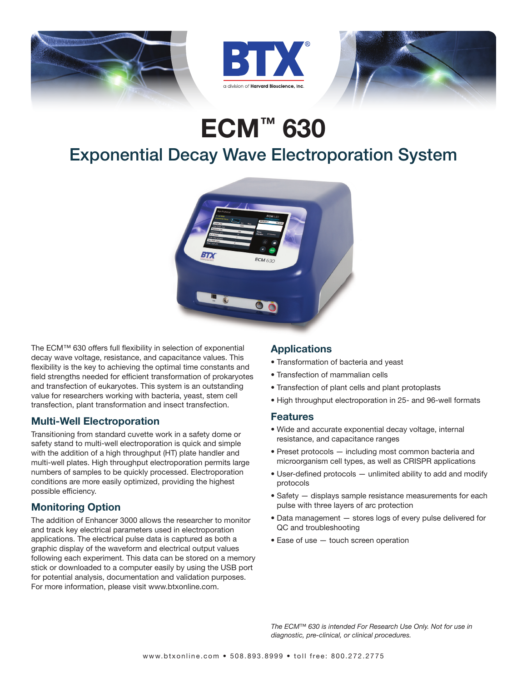





# ECM™ 630

## Exponential Decay Wave Electroporation System



The ECM™ 630 offers full flexibility in selection of exponential decay wave voltage, resistance, and capacitance values. This flexibility is the key to achieving the optimal time constants and field strengths needed for efficient transformation of prokaryotes and transfection of eukaryotes. This system is an outstanding value for researchers working with bacteria, yeast, stem cell transfection, plant transformation and insect transfection.

#### Multi-Well Electroporation

Transitioning from standard cuvette work in a safety dome or safety stand to multi-well electroporation is quick and simple with the addition of a high throughput (HT) plate handler and multi-well plates. High throughput electroporation permits large numbers of samples to be quickly processed. Electroporation conditions are more easily optimized, providing the highest possible efficiency.

### Monitoring Option

The addition of Enhancer 3000 allows the researcher to monitor and track key electrical parameters used in electroporation applications. The electrical pulse data is captured as both a graphic display of the waveform and electrical output values following each experiment. This data can be stored on a memory stick or downloaded to a computer easily by using the USB port for potential analysis, documentation and validation purposes. For more information, please visit www.btxonline.com.

### **Applications**

- Transformation of bacteria and yeast
- Transfection of mammalian cells
- Transfection of plant cells and plant protoplasts
- High throughput electroporation in 25- and 96-well formats

#### Features

- Wide and accurate exponential decay voltage, internal resistance, and capacitance ranges
- Preset protocols including most common bacteria and microorganism cell types, as well as CRISPR applications
- User-defined protocols unlimited ability to add and modify protocols
- Safety displays sample resistance measurements for each pulse with three layers of arc protection
- Data management stores logs of every pulse delivered for QC and troubleshooting
- Ease of use touch screen operation

*The ECM™ 630 is intended For Research Use Only. Not for use in diagnostic, pre-clinical, or clinical procedures.*